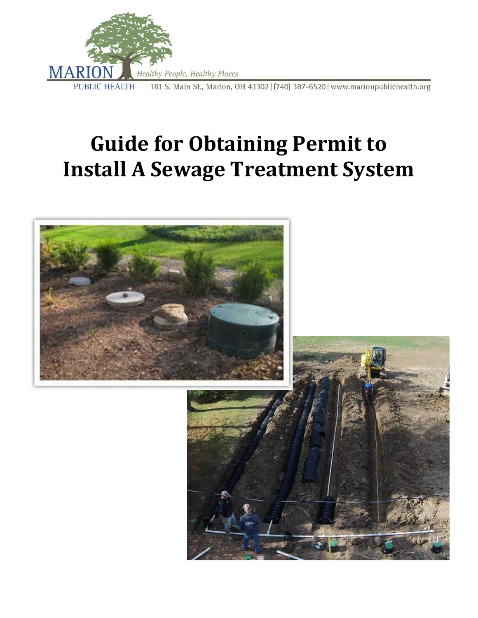

# **Guide for Obtaining Permit to Install A Sewage Treatment System**

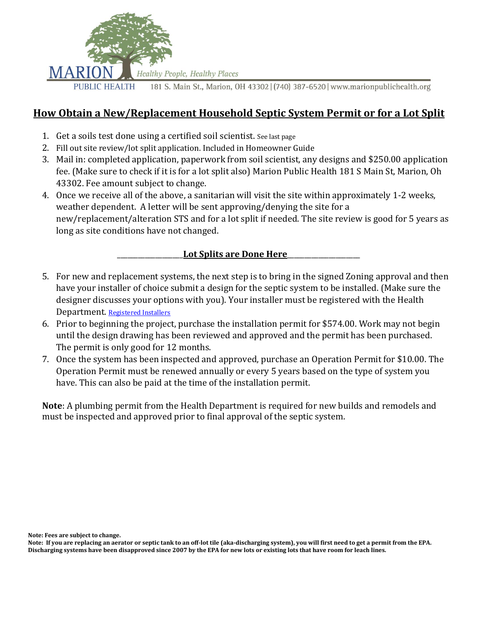

## **How Obtain a New/Replacement Household Septic System Permit or for a Lot Split**

- 1. Get a soils test done using a certified soil scientist. See last page
- 2. Fill out site review/lot split application. Included in Homeowner Guide
- 3. Mail in: completed application, paperwork from soil scientist, any designs and \$250.00 application fee. (Make sure to check if it is for a lot split also) Marion Public Health 181 S Main St, Marion, Oh 43302. Fee amount subject to change.
- 4. Once we receive all of the above, a sanitarian will visit the site within approximately 1-2 weeks, weather dependent. A letter will be sent approving/denying the site for a new/replacement/alteration STS and for a lot split if needed. The site review is good for 5 years as long as site conditions have not changed.

#### \_\_\_\_\_\_\_\_\_\_\_\_\_\_\_\_\_\_\_**Lot Splits are Done Here**\_\_\_\_\_\_\_\_\_\_\_\_\_\_\_\_\_\_\_\_\_

- 5. For new and replacement systems, the next step is to bring in the signed Zoning approval and then have your installer of choice submit a design for the septic system to be installed. (Make sure the designer discusses your options with you). Your installer must be registered with the Health Department. [Registered Installers](https://marionpublichealth.org/wp-content/uploads/2021/03/2021-INSTALLER-LIST-1.pdf)
- 6. Prior to beginning the project, purchase the installation permit for \$574.00. Work may not begin until the design drawing has been reviewed and approved and the permit has been purchased. The permit is only good for 12 months.
- 7. Once the system has been inspected and approved, purchase an Operation Permit for \$10.00. The Operation Permit must be renewed annually or every 5 years based on the type of system you have. This can also be paid at the time of the installation permit.

**Note**: A plumbing permit from the Health Department is required for new builds and remodels and must be inspected and approved prior to final approval of the septic system.

**Note: Fees are subject to change.** 

**Note: If you are replacing an aerator or septic tank to an off-lot tile (aka-discharging system), you will first need to get a permit from the EPA. Discharging systems have been disapproved since 2007 by the EPA for new lots or existing lots that have room for leach lines.**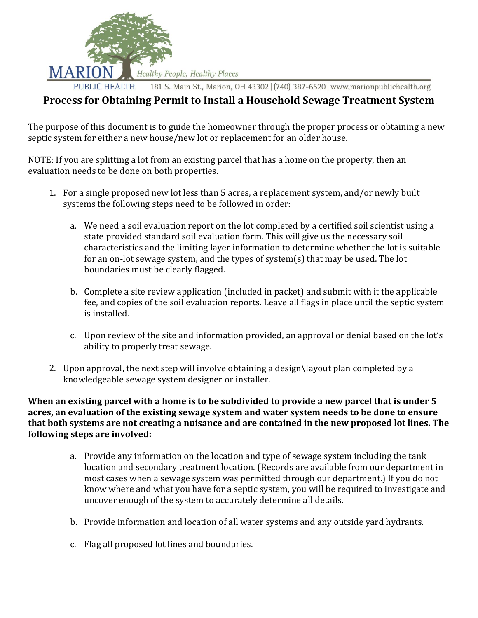

181 S. Main St., Marion, OH 43302 | (740) 387-6520 | www.marionpublichealth.org

#### **Process for Obtaining Permit to Install a Household Sewage Treatment System**

The purpose of this document is to guide the homeowner through the proper process or obtaining a new septic system for either a new house/new lot or replacement for an older house.

NOTE: If you are splitting a lot from an existing parcel that has a home on the property, then an evaluation needs to be done on both properties.

- 1. For a single proposed new lot less than 5 acres, a replacement system, and/or newly built systems the following steps need to be followed in order:
	- a. We need a soil evaluation report on the lot completed by a certified soil scientist using a state provided standard soil evaluation form. This will give us the necessary soil characteristics and the limiting layer information to determine whether the lot is suitable for an on-lot sewage system, and the types of system(s) that may be used. The lot boundaries must be clearly flagged.
	- b. Complete a site review application (included in packet) and submit with it the applicable fee, and copies of the soil evaluation reports. Leave all flags in place until the septic system is installed.
	- c. Upon review of the site and information provided, an approval or denial based on the lot's ability to properly treat sewage.
- 2. Upon approval, the next step will involve obtaining a design\layout plan completed by a knowledgeable sewage system designer or installer.

**When an existing parcel with a home is to be subdivided to provide a new parcel that is under 5 acres, an evaluation of the existing sewage system and water system needs to be done to ensure that both systems are not creating a nuisance and are contained in the new proposed lot lines. The following steps are involved:**

- a. Provide any information on the location and type of sewage system including the tank location and secondary treatment location. (Records are available from our department in most cases when a sewage system was permitted through our department.) If you do not know where and what you have for a septic system, you will be required to investigate and uncover enough of the system to accurately determine all details.
- b. Provide information and location of all water systems and any outside yard hydrants.
- c. Flag all proposed lot lines and boundaries.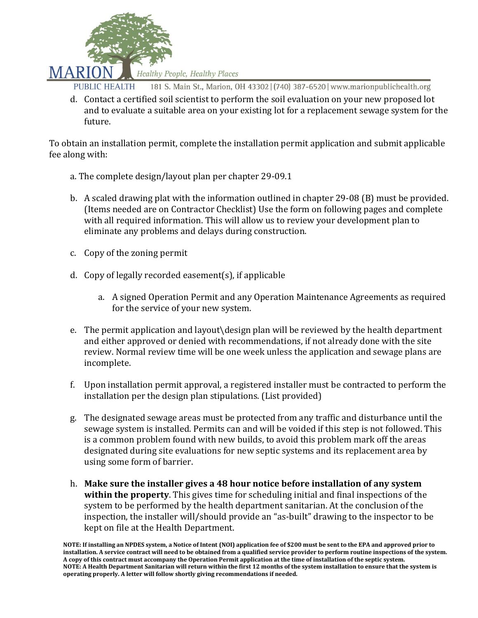

- 181 S. Main St., Marion, OH 43302 | (740) 387-6520 | www.marionpublichealth.org **PUBLIC HEALTH**
- d. Contact a certified soil scientist to perform the soil evaluation on your new proposed lot and to evaluate a suitable area on your existing lot for a replacement sewage system for the future.

To obtain an installation permit, complete the installation permit application and submit applicable fee along with:

- a. The complete design/layout plan per chapter 29-09.1
- b. A scaled drawing plat with the information outlined in chapter 29-08 (B) must be provided. (Items needed are on Contractor Checklist) Use the form on following pages and complete with all required information. This will allow us to review your development plan to eliminate any problems and delays during construction.
- c. Copy of the zoning permit
- d. Copy of legally recorded easement(s), if applicable
	- a. A signed Operation Permit and any Operation Maintenance Agreements as required for the service of your new system.
- e. The permit application and layout\design plan will be reviewed by the health department and either approved or denied with recommendations, if not already done with the site review. Normal review time will be one week unless the application and sewage plans are incomplete.
- f. Upon installation permit approval, a registered installer must be contracted to perform the installation per the design plan stipulations. (List provided)
- g. The designated sewage areas must be protected from any traffic and disturbance until the sewage system is installed. Permits can and will be voided if this step is not followed. This is a common problem found with new builds, to avoid this problem mark off the areas designated during site evaluations for new septic systems and its replacement area by using some form of barrier.
- h. **Make sure the installer gives a 48 hour notice before installation of any system within the property**. This gives time for scheduling initial and final inspections of the system to be performed by the health department sanitarian. At the conclusion of the inspection, the installer will/should provide an "as-built" drawing to the inspector to be kept on file at the Health Department.

**NOTE: If installing an NPDES system, a Notice of Intent (NOI) application fee of \$200 must be sent to the EPA and approved prior to installation. A service contract will need to be obtained from a qualified service provider to perform routine inspections of the system. A copy of this contract must accompany the Operation Permit application at the time of installation of the septic system. NOTE: A Health Department Sanitarian will return within the first 12 months of the system installation to ensure that the system is operating properly. A letter will follow shortly giving recommendations if needed.**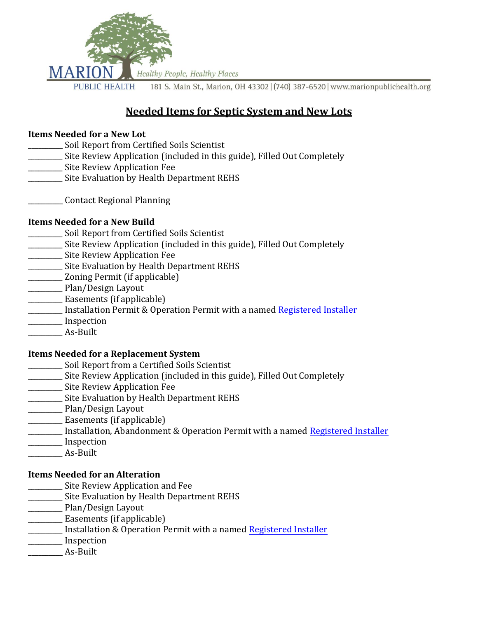

# **Needed Items for Septic System and New Lots**

#### **Items Needed for a New Lot**

- **\_\_\_\_\_\_\_\_\_\_** Soil Report from Certified Soils Scientist
- \_\_\_\_\_\_\_\_\_\_ Site Review Application (included in this guide), Filled Out Completely
- \_\_\_\_\_\_\_\_\_\_ Site Review Application Fee
- \_\_\_\_\_\_\_\_\_\_ Site Evaluation by Health Department REHS
- \_\_\_\_\_\_\_\_\_\_ Contact Regional Planning

#### **Items Needed for a New Build**

- \_\_\_\_\_\_\_\_\_\_ Soil Report from Certified Soils Scientist
- \_\_\_\_\_\_\_\_\_\_ Site Review Application (included in this guide), Filled Out Completely
- \_\_\_\_\_\_\_\_\_\_ Site Review Application Fee
- \_\_\_\_\_\_\_\_\_\_ Site Evaluation by Health Department REHS
- \_\_\_\_\_\_\_\_\_\_ Zoning Permit (if applicable)
- \_\_\_\_\_\_\_\_\_\_ Plan/Design Layout
- \_\_\_\_\_\_\_\_\_\_ Easements (if applicable)
- Installation Permit & Operation Permit with a named Registered Installer
- \_\_\_\_\_\_\_\_\_\_ Inspection
- \_\_\_\_\_\_\_\_\_\_ As-Built

#### **Items Needed for a Replacement System**

- \_\_\_\_\_\_\_\_\_\_ Soil Report from a Certified Soils Scientist
- \_\_\_\_\_\_\_\_\_\_ Site Review Application (included in this guide), Filled Out Completely
- \_\_\_\_\_\_\_\_\_\_ Site Review Application Fee
- \_\_\_\_\_\_\_\_\_\_ Site Evaluation by Health Department REHS
- \_\_\_\_\_\_\_\_\_\_ Plan/Design Layout
- \_\_\_\_\_\_\_\_\_\_ Easements (if applicable)
- Installation, Abandonment & Operation Permit with a named Registered Installer
- \_\_\_\_\_\_\_\_\_\_ Inspection
- \_\_\_\_\_\_\_\_\_\_ As-Built

#### **Items Needed for an Alteration**

- \_\_\_\_\_\_\_\_\_\_ Site Review Application and Fee
- \_\_\_\_\_\_\_\_\_\_ Site Evaluation by Health Department REHS
- \_\_\_\_\_\_\_\_\_\_ Plan/Design Layout
- \_\_\_\_\_\_\_\_\_\_ Easements (if applicable)
- **\_\_\_\_\_\_\_\_** Installation & Operation Permit with a named Registered Installer
- \_\_\_\_\_\_\_\_\_\_ Inspection
- **\_\_\_\_\_\_\_\_\_\_** As-Built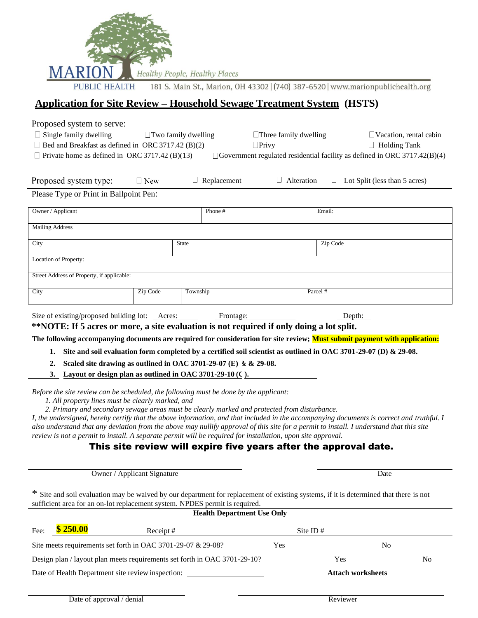

181 S. Main St., Marion, OH 43302 | (740) 387-6520 | www.marionpublichealth.org

## **Application for Site Review – Household Sewage Treatment System (HSTS)**

| Proposed system to serve:                                                                                                                                                                                                                 |            |                    |                              |                   |                                                                  |                                                                                  |  |
|-------------------------------------------------------------------------------------------------------------------------------------------------------------------------------------------------------------------------------------------|------------|--------------------|------------------------------|-------------------|------------------------------------------------------------------|----------------------------------------------------------------------------------|--|
| $\Box$ Single family dwelling<br>$\Box$ Two family dwelling                                                                                                                                                                               |            |                    | $\Box$ Three family dwelling |                   | $\Box$ Vacation, rental cabin                                    |                                                                                  |  |
| $\Box$ Bed and Breakfast as defined in ORC 3717.42 (B)(2)<br>$\Box$ Privy                                                                                                                                                                 |            |                    |                              |                   | $\Box$ Holding Tank                                              |                                                                                  |  |
| $\Box$ Private home as defined in ORC 3717.42 (B)(13)                                                                                                                                                                                     |            |                    |                              |                   |                                                                  | $\Box$ Government regulated residential facility as defined in ORC 3717.42(B)(4) |  |
|                                                                                                                                                                                                                                           |            |                    |                              |                   |                                                                  |                                                                                  |  |
| Proposed system type:                                                                                                                                                                                                                     | $\Box$ New | $\Box$ Replacement |                              | $\Box$ Alteration |                                                                  | Lot Split (less than 5 acres)                                                    |  |
| Please Type or Print in Ballpoint Pen:                                                                                                                                                                                                    |            |                    |                              |                   |                                                                  |                                                                                  |  |
| Owner / Applicant                                                                                                                                                                                                                         |            | Phone#             |                              |                   | Email:                                                           |                                                                                  |  |
| <b>Mailing Address</b>                                                                                                                                                                                                                    |            |                    |                              |                   |                                                                  |                                                                                  |  |
| City                                                                                                                                                                                                                                      |            | State              |                              |                   | Zip Code                                                         |                                                                                  |  |
| Location of Property:                                                                                                                                                                                                                     |            |                    |                              |                   |                                                                  |                                                                                  |  |
| Street Address of Property, if applicable:                                                                                                                                                                                                |            |                    |                              |                   |                                                                  |                                                                                  |  |
| City                                                                                                                                                                                                                                      | Zip Code   | Township           |                              |                   | Parcel #                                                         |                                                                                  |  |
| Size of existing/proposed building lot: Acres:                                                                                                                                                                                            |            |                    | Frontage:                    |                   | Depth:                                                           |                                                                                  |  |
| **NOTE: If 5 acres or more, a site evaluation is not required if only doing a lot split.                                                                                                                                                  |            |                    |                              |                   |                                                                  |                                                                                  |  |
| The following accompanying documents are required for consideration for site review; Must submit payment with application:                                                                                                                |            |                    |                              |                   |                                                                  |                                                                                  |  |
| Site and soil evaluation form completed by a certified soil scientist as outlined in OAC 3701-29-07 (D) & 29-08.<br>1.                                                                                                                    |            |                    |                              |                   |                                                                  |                                                                                  |  |
| Scaled site drawing as outlined in OAC 3701-29-07 (E) $\&$ & 29-08.<br>2.                                                                                                                                                                 |            |                    |                              |                   |                                                                  |                                                                                  |  |
| 3. Layout or design plan as outlined in OAC 3701-29-10 (C).                                                                                                                                                                               |            |                    |                              |                   |                                                                  |                                                                                  |  |
|                                                                                                                                                                                                                                           |            |                    |                              |                   |                                                                  |                                                                                  |  |
| Before the site review can be scheduled, the following must be done by the applicant:                                                                                                                                                     |            |                    |                              |                   |                                                                  |                                                                                  |  |
| 1. All property lines must be clearly marked, and                                                                                                                                                                                         |            |                    |                              |                   |                                                                  |                                                                                  |  |
| 2. Primary and secondary sewage areas must be clearly marked and protected from disturbance.<br>I, the undersigned, hereby certify that the above information, and that included in the accompanying documents is correct and truthful. I |            |                    |                              |                   |                                                                  |                                                                                  |  |
| also understand that any deviation from the above may nullify approval of this site for a permit to install. I understand that this site                                                                                                  |            |                    |                              |                   |                                                                  |                                                                                  |  |
| review is not a permit to install. A separate permit will be required for installation, upon site approval.                                                                                                                               |            |                    |                              |                   |                                                                  |                                                                                  |  |
|                                                                                                                                                                                                                                           |            |                    |                              |                   | This site review will expire five years after the approval date. |                                                                                  |  |
|                                                                                                                                                                                                                                           |            |                    |                              |                   |                                                                  |                                                                                  |  |
|                                                                                                                                                                                                                                           |            |                    |                              |                   |                                                                  |                                                                                  |  |
| Owner / Applicant Signature                                                                                                                                                                                                               |            |                    |                              |                   |                                                                  | Date                                                                             |  |
|                                                                                                                                                                                                                                           |            |                    |                              |                   |                                                                  |                                                                                  |  |
| * Site and soil evaluation may be waived by our department for replacement of existing systems, if it is determined that there is not<br>sufficient area for an on-lot replacement system. NPDES permit is required.                      |            |                    |                              |                   |                                                                  |                                                                                  |  |
| <b>Health Department Use Only</b>                                                                                                                                                                                                         |            |                    |                              |                   |                                                                  |                                                                                  |  |
| \$250.00<br>Fee:                                                                                                                                                                                                                          | Receipt#   |                    |                              |                   | Site ID#                                                         |                                                                                  |  |
| Site meets requirements set forth in OAC 3701-29-07 & 29-08?<br>Yes<br>N <sub>0</sub>                                                                                                                                                     |            |                    |                              |                   |                                                                  |                                                                                  |  |
| Design plan / layout plan meets requirements set forth in OAC 3701-29-10?<br>Yes<br>N <sub>0</sub>                                                                                                                                        |            |                    |                              |                   |                                                                  |                                                                                  |  |
| Date of Health Department site review inspection: _______________________________<br><b>Attach worksheets</b>                                                                                                                             |            |                    |                              |                   |                                                                  |                                                                                  |  |
|                                                                                                                                                                                                                                           |            |                    |                              |                   |                                                                  |                                                                                  |  |
| Date of approval / denial                                                                                                                                                                                                                 |            |                    |                              |                   | Reviewer                                                         |                                                                                  |  |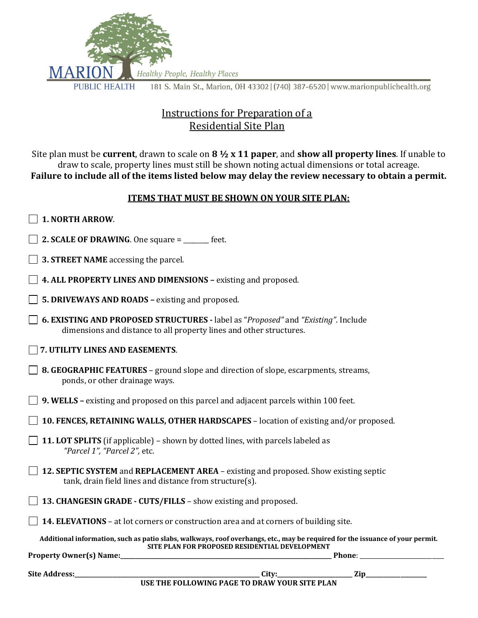

## Instructions for Preparation of a Residential Site Plan

Site plan must be **current**, drawn to scale on **8 ½ x 11 paper**, and **show all property lines**. If unable to draw to scale, property lines must still be shown noting actual dimensions or total acreage. **Failure to include all of the items listed below may delay the review necessary to obtain a permit.**

#### **ITEMS THAT MUST BE SHOWN ON YOUR SITE PLAN:**

- **1. NORTH ARROW**.
- **2. SCALE OF DRAWING**. One square = \_\_\_\_\_\_\_ feet.
- **3. STREET NAME** accessing the parcel.
- **4. ALL PROPERTY LINES AND DIMENSIONS** *–* existing and proposed.
- **5. DRIVEWAYS AND ROADS –** existing and proposed.
- **6. EXISTING AND PROPOSED STRUCTURES -** label as "*Proposed"* and *"Existing"*. Include dimensions and distance to all property lines and other structures.
- **7. UTILITY LINES AND EASEMENTS**.
- **8. GEOGRAPHIC FEATURES**  ground slope and direction of slope, escarpments*,* streams, ponds, or other drainage ways.
- **9. WELLS –** existing and proposed on this parcel and adjacent parcels within 100 feet.
- **10. FENCES, RETAINING WALLS, OTHER HARDSCAPES**  location of existing and/or proposed.
- **11. LOT SPLITS** (if applicable) shown by dotted lines, with parcels labeled as *"Parcel 1", "Parcel 2",* etc.
- **12. SEPTIC SYSTEM** and **REPLACEMENT AREA**  existing and proposed*.* Show existing septic tank, drain field lines and distance from structure(s).
- **13. CHANGESIN GRADE - CUTS/FILLS**  show existing and proposed.
- **14. ELEVATIONS**  at lot corners or construction area and at corners of building site.

**Additional information, such as patio slabs, walkways, roof overhangs, etc., may be required for the issuance of your permit. SITE PLAN FOR PROPOSED RESIDENTIAL DEVELOPMENT**

**Property Owner(s) Name:\_\_\_\_\_\_\_\_\_\_\_\_\_\_\_\_\_\_\_\_\_\_\_\_\_\_\_\_\_\_\_\_\_\_\_\_\_\_\_\_\_\_\_\_\_\_\_\_\_\_\_\_\_\_\_\_\_\_\_\_\_\_\_\_\_\_\_\_\_\_\_\_\_ Phone**: \_\_\_\_\_\_\_\_\_\_\_\_\_\_\_\_\_\_\_\_\_\_\_\_\_\_\_\_\_

**Site Address:\_\_\_\_\_\_\_\_\_\_\_\_\_\_\_\_\_\_\_\_\_\_\_\_\_\_\_\_\_\_\_\_\_\_\_\_\_\_\_\_\_\_\_\_\_\_\_\_\_\_\_\_\_\_\_\_\_\_\_\_\_\_\_\_ City:\_\_\_\_\_\_\_\_\_\_\_\_\_\_\_\_\_\_\_\_\_\_\_\_\_\_ Zip\_\_\_\_\_\_\_\_\_\_\_\_\_\_\_\_\_\_\_\_\_**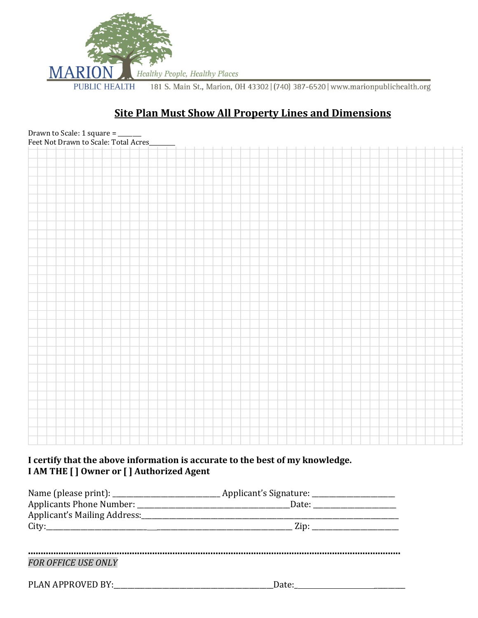

# **Site Plan Must Show All Property Lines and Dimensions**



#### **I certify that the above information is accurate to the best of my knowledge. I AM THE [ ] Owner or [ ] Authorized Agent**

|                            | Date: |  |
|----------------------------|-------|--|
|                            |       |  |
|                            |       |  |
|                            |       |  |
| <b>FOR OFFICE USE ONLY</b> |       |  |
|                            | Date: |  |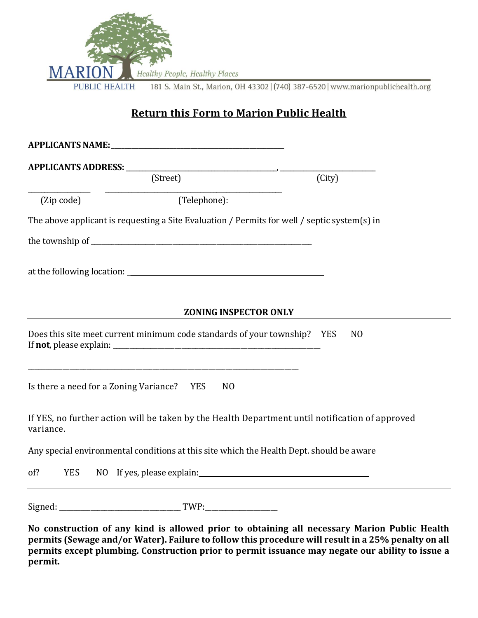

# **Return this Form to Marion Public Health**

|                                            | (Street)                                                                                                                                                                                                                       | (City)                                                                                          |
|--------------------------------------------|--------------------------------------------------------------------------------------------------------------------------------------------------------------------------------------------------------------------------------|-------------------------------------------------------------------------------------------------|
| (Zip code)                                 | (Telephone):                                                                                                                                                                                                                   |                                                                                                 |
|                                            | The above applicant is requesting a Site Evaluation / Permits for well / septic system(s) in                                                                                                                                   |                                                                                                 |
|                                            |                                                                                                                                                                                                                                |                                                                                                 |
|                                            |                                                                                                                                                                                                                                |                                                                                                 |
|                                            | <b>ZONING INSPECTOR ONLY</b>                                                                                                                                                                                                   |                                                                                                 |
|                                            | Does this site meet current minimum code standards of your township? YES                                                                                                                                                       | N <sub>O</sub>                                                                                  |
| Is there a need for a Zoning Variance? YES | <u> 1980 - Jan James James Barnett, amerikan basar dan berasal dalam pengaran basar dalam pengaran basar dalam b</u><br>N <sub>0</sub>                                                                                         |                                                                                                 |
| variance.                                  |                                                                                                                                                                                                                                | If YES, no further action will be taken by the Health Department until notification of approved |
|                                            | Any special environmental conditions at this site which the Health Dept. should be aware                                                                                                                                       |                                                                                                 |
| of?<br><b>YES</b>                          | NO If yes, please explain: No interest and the set of the set of the set of the set of the set of the set of the set of the set of the set of the set of the set of the set of the set of the set of the set of the set of the |                                                                                                 |
|                                            |                                                                                                                                                                                                                                |                                                                                                 |

**No construction of any kind is allowed prior to obtaining all necessary Marion Public Health permits (Sewage and/or Water). Failure to follow this procedure will result in a 25% penalty on all permits except plumbing. Construction prior to permit issuance may negate our ability to issue a permit.**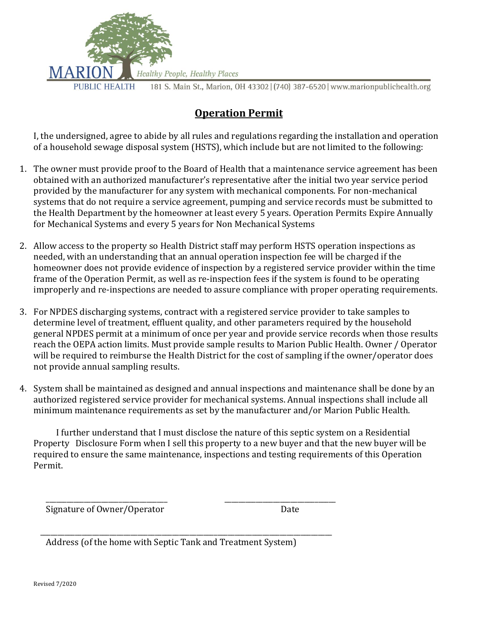

## **Operation Permit**

I, the undersigned, agree to abide by all rules and regulations regarding the installation and operation of a household sewage disposal system (HSTS), which include but are not limited to the following:

- 1. The owner must provide proof to the Board of Health that a maintenance service agreement has been obtained with an authorized manufacturer's representative after the initial two year service period provided by the manufacturer for any system with mechanical components. For non-mechanical systems that do not require a service agreement, pumping and service records must be submitted to the Health Department by the homeowner at least every 5 years. Operation Permits Expire Annually for Mechanical Systems and every 5 years for Non Mechanical Systems
- 2. Allow access to the property so Health District staff may perform HSTS operation inspections as needed, with an understanding that an annual operation inspection fee will be charged if the homeowner does not provide evidence of inspection by a registered service provider within the time frame of the Operation Permit, as well as re-inspection fees if the system is found to be operating improperly and re-inspections are needed to assure compliance with proper operating requirements.
- 3. For NPDES discharging systems, contract with a registered service provider to take samples to determine level of treatment, effluent quality, and other parameters required by the household general NPDES permit at a minimum of once per year and provide service records when those results reach the OEPA action limits. Must provide sample results to Marion Public Health. Owner / Operator will be required to reimburse the Health District for the cost of sampling if the owner/operator does not provide annual sampling results.
- 4. System shall be maintained as designed and annual inspections and maintenance shall be done by an authorized registered service provider for mechanical systems. Annual inspections shall include all minimum maintenance requirements as set by the manufacturer and/or Marion Public Health.

I further understand that I must disclose the nature of this septic system on a Residential Property Disclosure Form when I sell this property to a new buyer and that the new buyer will be required to ensure the same maintenance, inspections and testing requirements of this Operation Permit.

Signature of Owner/Operator and a state of Date

Address (of the home with Septic Tank and Treatment System)

\_\_\_\_\_\_\_\_\_\_\_\_\_\_\_\_\_\_\_\_\_\_\_\_\_\_\_\_\_\_\_\_\_\_\_\_\_\_\_\_\_\_\_\_\_\_\_\_\_\_\_\_\_\_\_\_\_\_\_\_\_\_\_\_\_\_\_\_\_\_\_\_\_\_\_\_\_\_\_\_\_\_\_\_

 $\overline{\phantom{a}}$  , and the contract of the contract of the contract of the contract of the contract of the contract of the contract of the contract of the contract of the contract of the contract of the contract of the contrac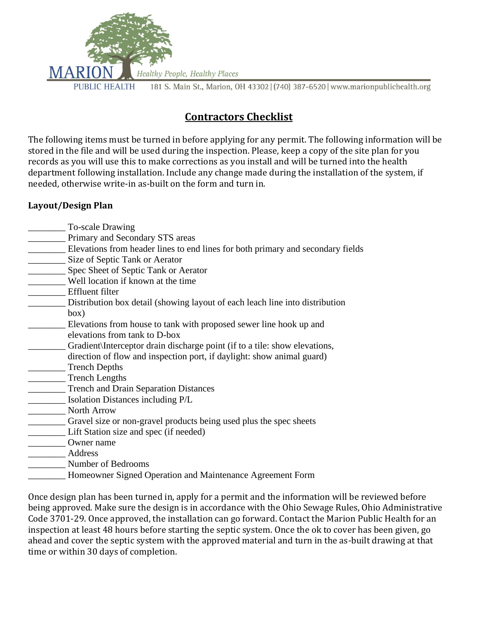

# **Contractors Checklist**

The following items must be turned in before applying for any permit. The following information will be stored in the file and will be used during the inspection. Please, keep a copy of the site plan for you records as you will use this to make corrections as you install and will be turned into the health department following installation. Include any change made during the installation of the system, if needed, otherwise write-in as-built on the form and turn in.

#### **Layout/Design Plan**

- \_\_\_\_\_\_\_\_ To-scale Drawing
- Primary and Secondary STS areas
- \_\_\_\_\_\_\_\_ Elevations from header lines to end lines for both primary and secondary fields
- \_\_\_\_\_\_\_\_ Size of Septic Tank or Aerator
- **Example 2.5** Spec Sheet of Septic Tank or Aerator
- \_\_\_\_\_\_\_\_ Well location if known at the time
- \_\_\_\_\_\_\_\_ Effluent filter
- Distribution box detail (showing layout of each leach line into distribution box)
- Elevations from house to tank with proposed sewer line hook up and elevations from tank to D-box
- Gradient Interceptor drain discharge point (if to a tile: show elevations, direction of flow and inspection port, if daylight: show animal guard)
- \_\_\_\_\_\_\_\_ Trench Depths
- Trench Lengths
- \_\_\_\_\_\_\_\_ Trench and Drain Separation Distances
- \_\_\_\_\_\_\_\_ Isolation Distances including P/L
- \_\_\_\_\_\_\_\_ North Arrow
- \_\_\_\_\_\_\_\_ Gravel size or non-gravel products being used plus the spec sheets
- Lift Station size and spec (if needed)
- \_\_\_\_\_\_\_\_ Owner name
- \_\_\_\_\_\_\_\_ Address
- \_\_\_\_\_\_\_\_ Number of Bedrooms
- \_\_\_\_\_\_\_\_ Homeowner Signed Operation and Maintenance Agreement Form

Once design plan has been turned in, apply for a permit and the information will be reviewed before being approved. Make sure the design is in accordance with the Ohio Sewage Rules, Ohio Administrative Code 3701-29. Once approved, the installation can go forward. Contact the Marion Public Health for an inspection at least 48 hours before starting the septic system. Once the ok to cover has been given, go ahead and cover the septic system with the approved material and turn in the as-built drawing at that time or within 30 days of completion.